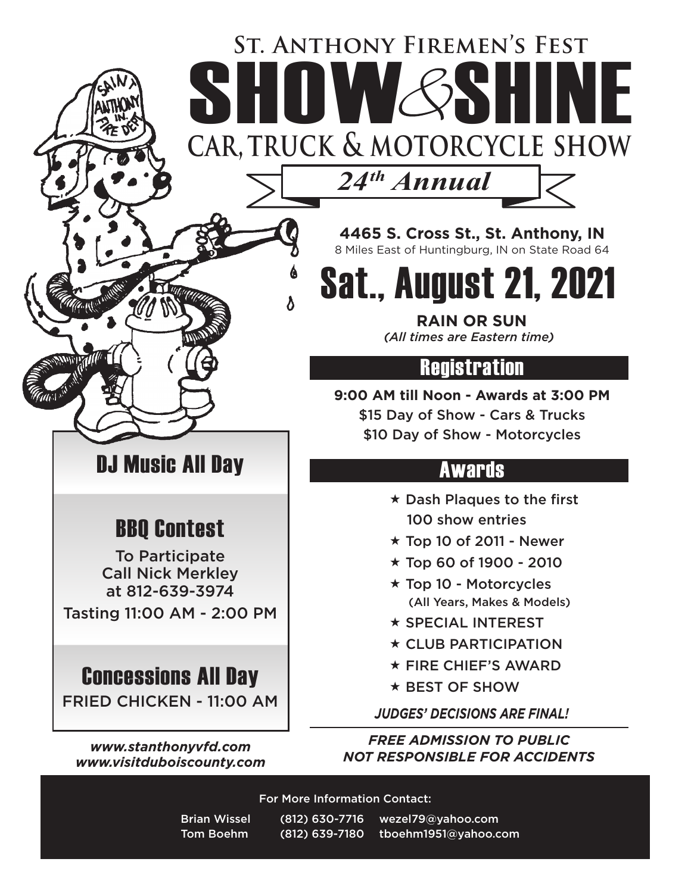## **St. Anthony Firemen's Fest** ST. ANTHONY FIREMEN'S FEST

**car, truck & motorcycle show**

*24th Annual*

**4465 S. Cross St., St. Anthony, IN** 8 Miles East of Huntingburg, IN on State Road 64

Sat., August 21, 2021

**RAIN OR SUN** *(All times are Eastern time)*

## **Registration**

**9:00 AM till Noon - Awards at 3:00 PM** \$15 Day of Show - Cars & Trucks \$10 Day of Show - Motorcycles

## Awards

- $\star$  Dash Plaques to the first 100 show entries
- $\star$  Top 10 of 2011 Newer
- $\star$  Top 60 of 1900 2010
- $\star$  Top 10 Motorcycles (All Years, Makes & Models)
- $\star$  SPECIAL INTEREST
- $\star$  CLUB PARTICIPATION
- $\star$  FIRE CHIEF'S AWARD
- $\star$  BEST OF SHOW

*JUDGES' DECISIONS ARE FINAL!*

*FREE ADMISSION TO PUBLIC NOT RESPONSIBLE FOR ACCIDENTS*

For More Information Contact:

DJ Music All Day

BBQ Contest

To Participate Call Nick Merkley at 812-639-3974

Tasting 11:00 AM - 2:00 PM

Concessions All Day

FRIED CHICKEN - 11:00 AM

*www.stanthonyvfd.com www.visitduboiscounty.com*

> Brian Wissel (812) 630-7716 wezel79@yahoo.com Tom Boehm (812) 639-7180 tboehm1951@yahoo.com